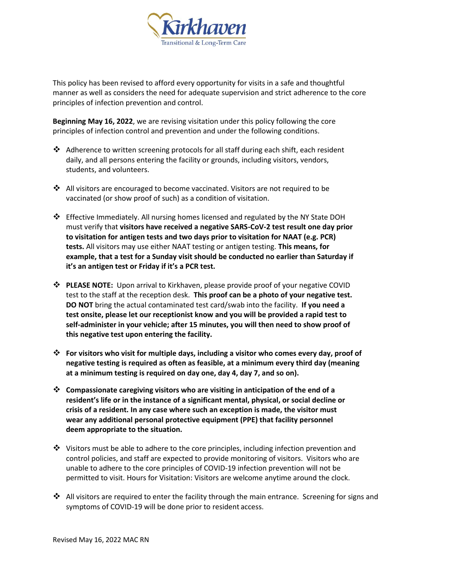

This policy has been revised to afford every opportunity for visits in a safe and thoughtful manner as well as considers the need for adequate supervision and strict adherence to the core principles of infection prevention and control.

**Beginning May 16, 2022**, we are revising visitation under this policy following the core principles of infection control and prevention and under the following conditions.

- ❖ Adherence to written screening protocols for all staff during each shift, each resident daily, and all persons entering the facility or grounds, including visitors, vendors, students, and volunteers.
- ❖ All visitors are encouraged to become vaccinated. Visitors are not required to be vaccinated (or show proof of such) as a condition of visitation.
- ❖ Effective Immediately. All nursing homes licensed and regulated by the NY State DOH must verify that **visitors have received a negative SARS-CoV-2 test result one day prior to visitation for antigen tests and two days prior to visitation for NAAT (e.g. PCR) tests.** All visitors may use either NAAT testing or antigen testing. **This means, for example, that a test for a Sunday visit should be conducted no earlier than Saturday if it's an antigen test or Friday if it's a PCR test.**
- ❖ **PLEASE NOTE:** Upon arrival to Kirkhaven, please provide proof of your negative COVID test to the staff at the reception desk. **This proof can be a photo of your negative test. DO NOT** bring the actual contaminated test card/swab into the facility. **If you need a test onsite, please let our receptionist know and you will be provided a rapid test to self-administer in your vehicle; after 15 minutes, you will then need to show proof of this negative test upon entering the facility.**
- ❖ **For visitors who visit for multiple days, including a visitor who comes every day, proof of negative testing is required as often as feasible, at a minimum every third day (meaning at a minimum testing is required on day one, day 4, day 7, and so on).**
- ❖ **Compassionate caregiving visitors who are visiting in anticipation of the end of a resident's life or in the instance of a significant mental, physical, or social decline or crisis of a resident. In any case where such an exception is made, the visitor must wear any additional personal protective equipment (PPE) that facility personnel deem appropriate to the situation.**
- $\dots$  Visitors must be able to adhere to the core principles, including infection prevention and control policies, and staff are expected to provide monitoring of visitors. Visitors who are unable to adhere to the core principles of COVID-19 infection prevention will not be permitted to visit. Hours for Visitation: Visitors are welcome anytime around the clock.
- ❖ All visitors are required to enter the facility through the main entrance. Screening for signs and symptoms of COVID-19 will be done prior to resident access.